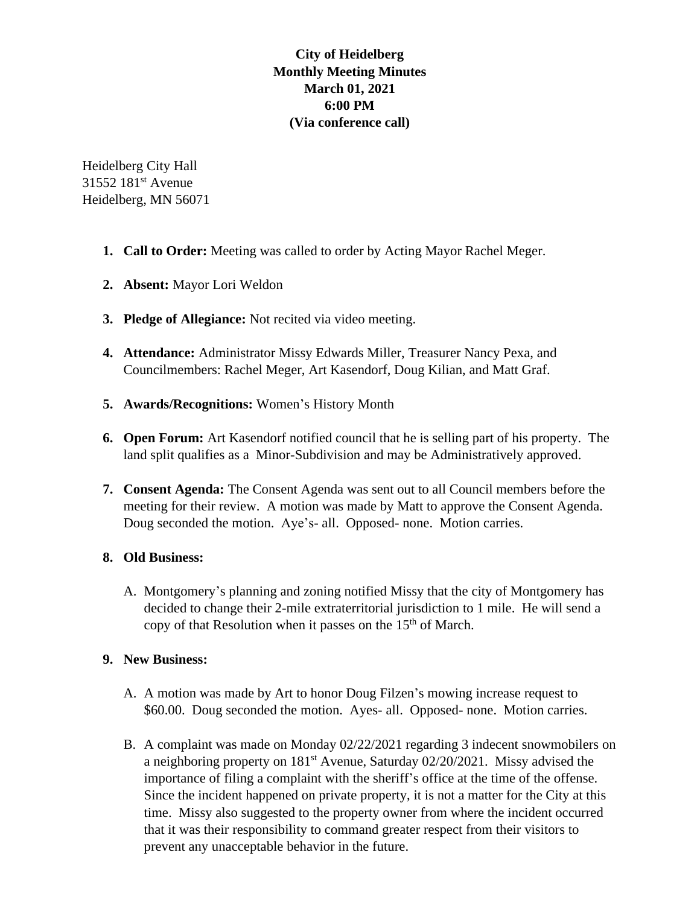## **City of Heidelberg Monthly Meeting Minutes March 01, 2021 6:00 PM (Via conference call)**

Heidelberg City Hall 31552 181<sup>st</sup> Avenue Heidelberg, MN 56071

- **1. Call to Order:** Meeting was called to order by Acting Mayor Rachel Meger.
- **2. Absent:** Mayor Lori Weldon
- **3. Pledge of Allegiance:** Not recited via video meeting.
- **4. Attendance:** Administrator Missy Edwards Miller, Treasurer Nancy Pexa, and Councilmembers: Rachel Meger, Art Kasendorf, Doug Kilian, and Matt Graf.
- **5. Awards/Recognitions:** Women's History Month
- **6. Open Forum:** Art Kasendorf notified council that he is selling part of his property. The land split qualifies as a Minor-Subdivision and may be Administratively approved.
- **7. Consent Agenda:** The Consent Agenda was sent out to all Council members before the meeting for their review. A motion was made by Matt to approve the Consent Agenda. Doug seconded the motion. Aye's- all. Opposed- none. Motion carries.

## **8. Old Business:**

A. Montgomery's planning and zoning notified Missy that the city of Montgomery has decided to change their 2-mile extraterritorial jurisdiction to 1 mile. He will send a copy of that Resolution when it passes on the  $15<sup>th</sup>$  of March.

## **9. New Business:**

- A. A motion was made by Art to honor Doug Filzen's mowing increase request to \$60.00. Doug seconded the motion. Ayes- all. Opposed- none. Motion carries.
- B. A complaint was made on Monday 02/22/2021 regarding 3 indecent snowmobilers on a neighboring property on 181<sup>st</sup> Avenue, Saturday 02/20/2021. Missy advised the importance of filing a complaint with the sheriff's office at the time of the offense. Since the incident happened on private property, it is not a matter for the City at this time. Missy also suggested to the property owner from where the incident occurred that it was their responsibility to command greater respect from their visitors to prevent any unacceptable behavior in the future.